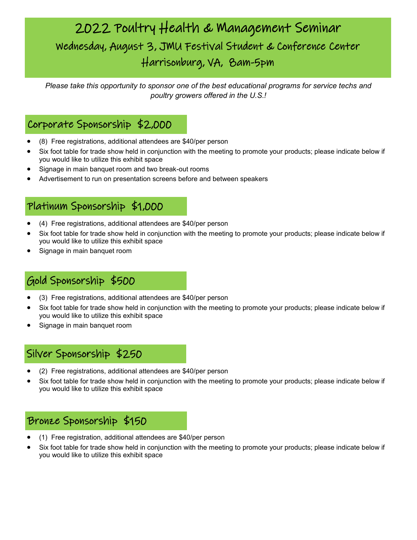# 2022 Poultry Health & Management Seminar Wednesday, August 3, JMU Festival Student & Conference Center Harrisonburg, VA, 8am-5pm

*Please take this opportunity to sponsor one of the best educational programs for service techs and poultry growers offered in the U.S.!*

### Corporate Sponsorship \$2,000

- (8) Free registrations, additional attendees are \$40/per person
- Six foot table for trade show held in conjunction with the meeting to promote your products; please indicate below if you would like to utilize this exhibit space
- Signage in main banquet room and two break-out rooms
- Advertisement to run on presentation screens before and between speakers

# Platinum Sponsorship \$1,000

- (4) Free registrations, additional attendees are \$40/per person
- Six foot table for trade show held in conjunction with the meeting to promote your products; please indicate below if you would like to utilize this exhibit space
- Signage in main banquet room

## Gold Sponsorship \$500

- (3) Free registrations, additional attendees are \$40/per person
- Six foot table for trade show held in conjunction with the meeting to promote your products; please indicate below if you would like to utilize this exhibit space
- Signage in main banquet room

## Silver Sponsorship \$250

- (2) Free registrations, additional attendees are \$40/per person
- Six foot table for trade show held in conjunction with the meeting to promote your products; please indicate below if you would like to utilize this exhibit space

#### Bronze Sponsorship \$150

- (1) Free registration, additional attendees are \$40/per person
- Six foot table for trade show held in conjunction with the meeting to promote your products; please indicate below if you would like to utilize this exhibit space